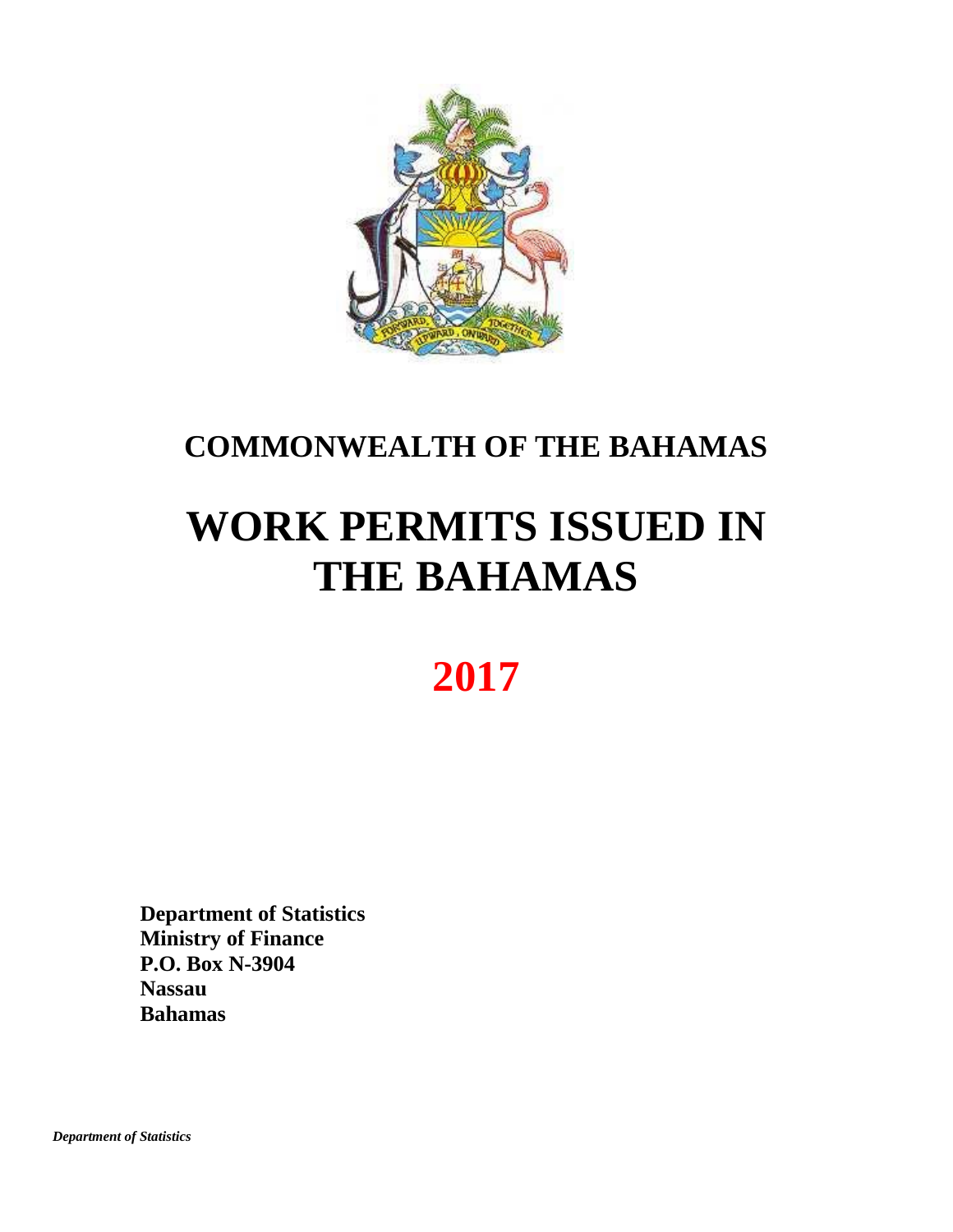

## **COMMONWEALTH OF THE BAHAMAS**

# **WORK PERMITS ISSUED IN THE BAHAMAS**

## **2017**

**Department of Statistics Ministry of Finance P.O. Box N-3904 Nassau Bahamas**

 *Department of Statistics*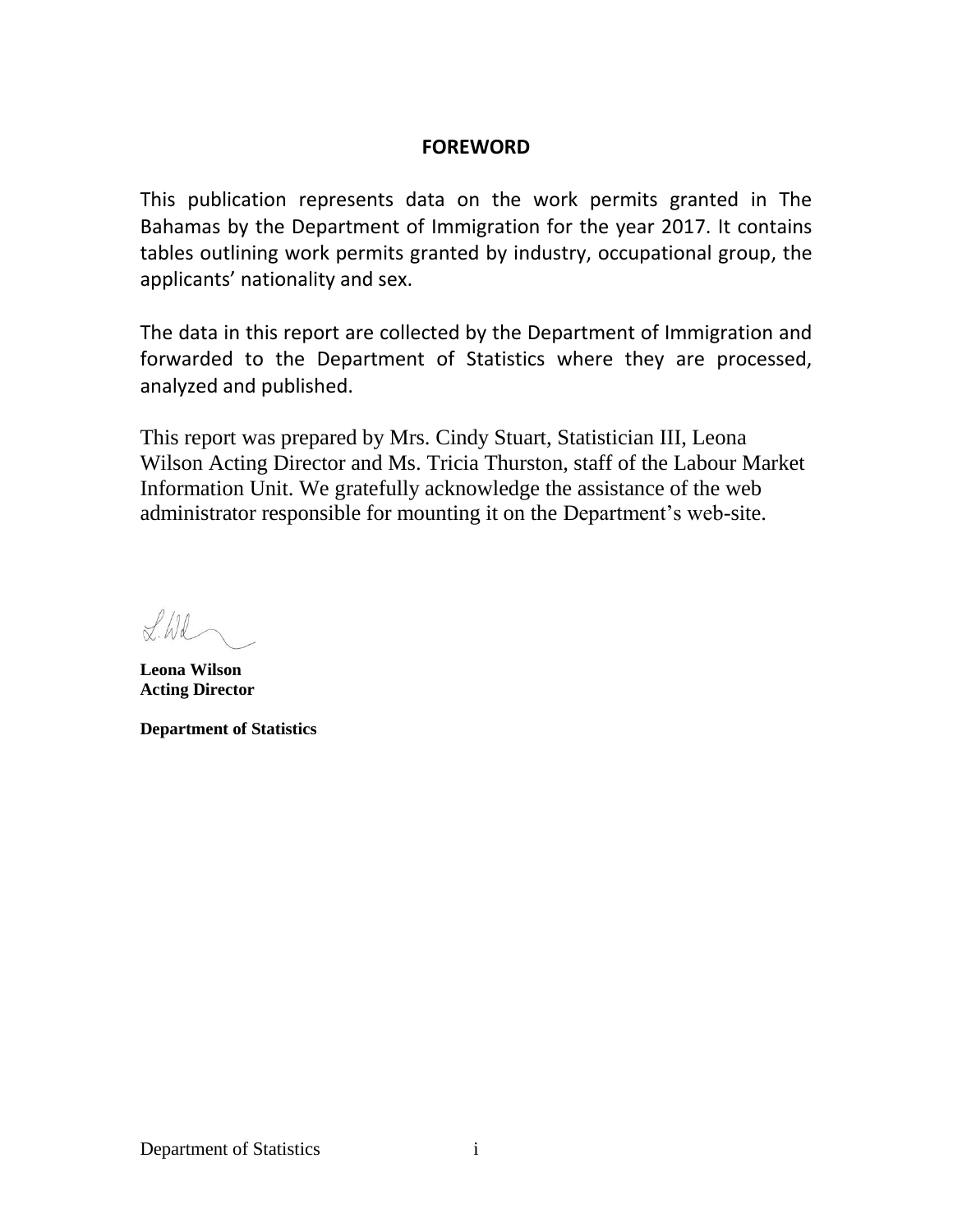## **FOREWORD**

This publication represents data on the work permits granted in The Bahamas by the Department of Immigration for the year 2017. It contains tables outlining work permits granted by industry, occupational group, the applicants' nationality and sex.

The data in this report are collected by the Department of Immigration and forwarded to the Department of Statistics where they are processed, analyzed and published.

This report was prepared by Mrs. Cindy Stuart, Statistician III, Leona Wilson Acting Director and Ms. Tricia Thurston, staff of the Labour Market Information Unit. We gratefully acknowledge the assistance of the web administrator responsible for mounting it on the Department's web-site.

 $flid$ 

**Leona Wilson Acting Director**

**Department of Statistics**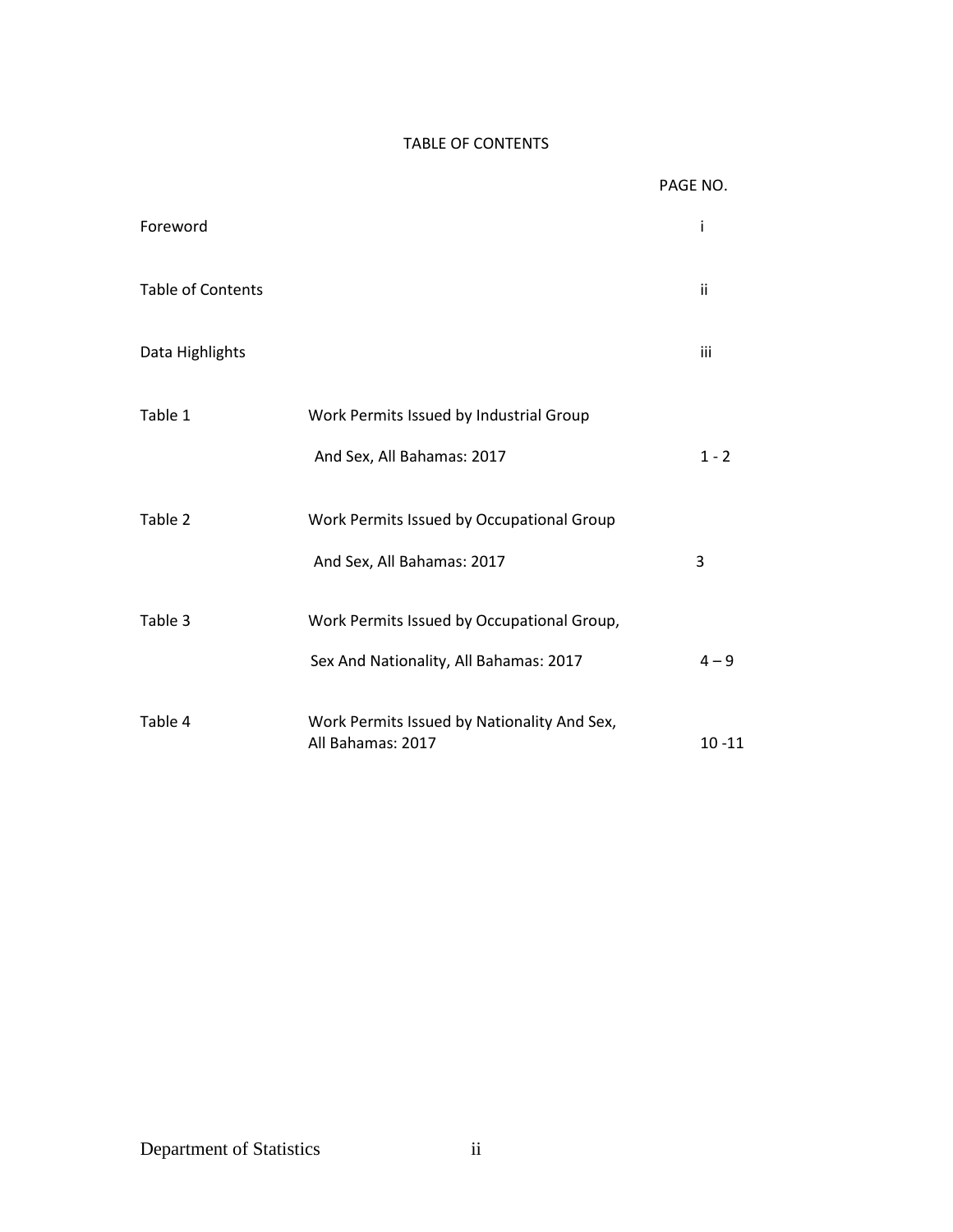## TABLE OF CONTENTS

|                          |                                                                  | PAGE NO.  |
|--------------------------|------------------------------------------------------------------|-----------|
| Foreword                 |                                                                  | i         |
| <b>Table of Contents</b> |                                                                  | ii        |
| Data Highlights          |                                                                  | iii       |
| Table 1                  | Work Permits Issued by Industrial Group                          |           |
|                          | And Sex, All Bahamas: 2017                                       | $1 - 2$   |
| Table 2                  | Work Permits Issued by Occupational Group                        |           |
|                          | And Sex, All Bahamas: 2017                                       | 3         |
| Table 3                  | Work Permits Issued by Occupational Group,                       |           |
|                          | Sex And Nationality, All Bahamas: 2017                           | $4 - 9$   |
| Table 4                  | Work Permits Issued by Nationality And Sex,<br>All Bahamas: 2017 | $10 - 11$ |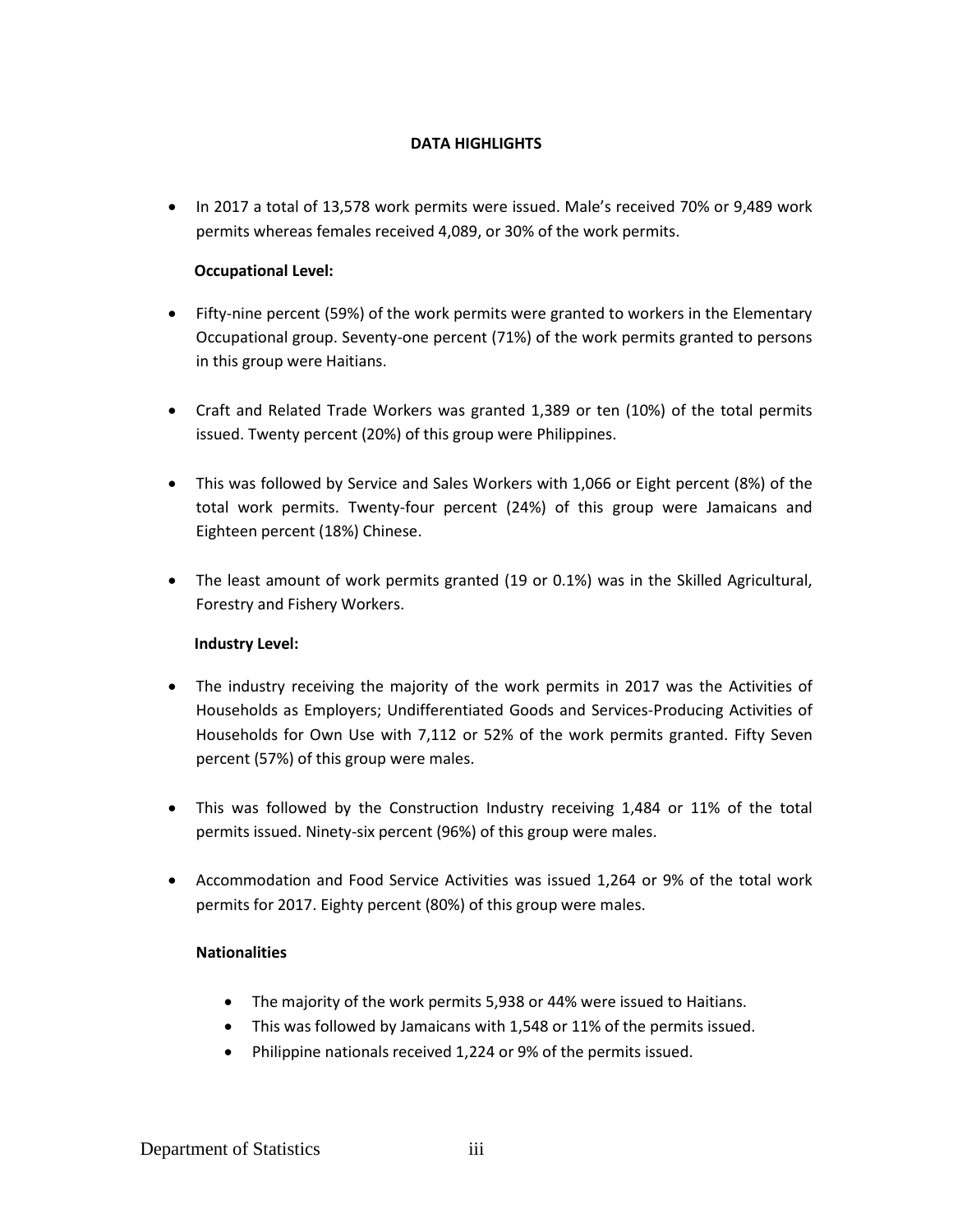### **DATA HIGHLIGHTS**

• In 2017 a total of 13,578 work permits were issued. Male's received 70% or 9,489 work permits whereas females received 4,089, or 30% of the work permits.

### **Occupational Level:**

- Fifty-nine percent (59%) of the work permits were granted to workers in the Elementary Occupational group. Seventy-one percent (71%) of the work permits granted to persons in this group were Haitians.
- Craft and Related Trade Workers was granted 1,389 or ten (10%) of the total permits issued. Twenty percent (20%) of this group were Philippines.
- This was followed by Service and Sales Workers with 1,066 or Eight percent (8%) of the total work permits. Twenty-four percent (24%) of this group were Jamaicans and Eighteen percent (18%) Chinese.
- The least amount of work permits granted (19 or 0.1%) was in the Skilled Agricultural, Forestry and Fishery Workers.

#### **Industry Level:**

- The industry receiving the majority of the work permits in 2017 was the Activities of Households as Employers; Undifferentiated Goods and Services-Producing Activities of Households for Own Use with 7,112 or 52% of the work permits granted. Fifty Seven percent (57%) of this group were males.
- This was followed by the Construction Industry receiving 1,484 or 11% of the total permits issued. Ninety-six percent (96%) of this group were males.
- Accommodation and Food Service Activities was issued 1,264 or 9% of the total work permits for 2017. Eighty percent (80%) of this group were males.

#### **Nationalities**

- The majority of the work permits 5,938 or 44% were issued to Haitians.
- This was followed by Jamaicans with 1,548 or 11% of the permits issued.
- Philippine nationals received 1,224 or 9% of the permits issued.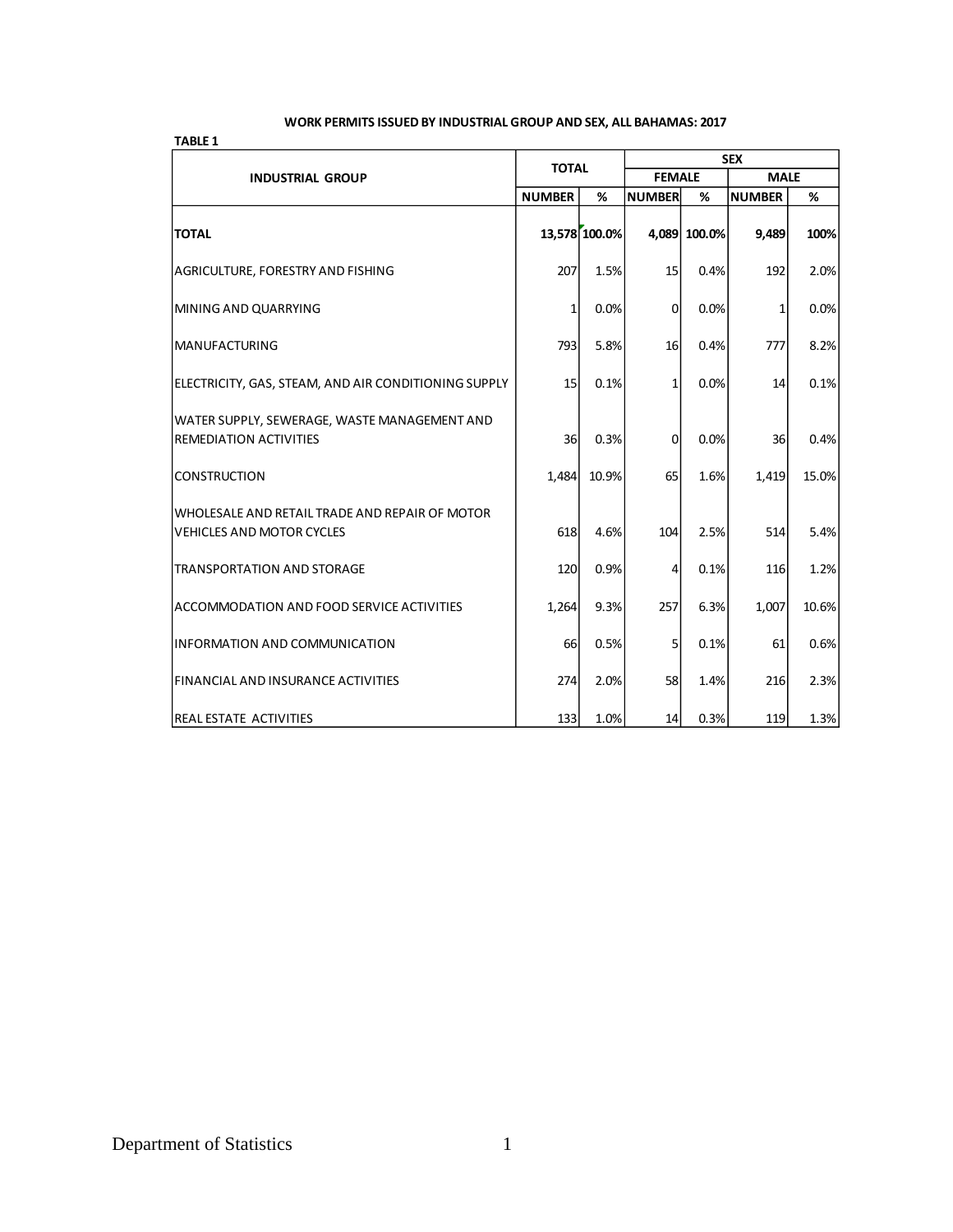#### **WORK PERMITS ISSUED BY INDUSTRIAL GROUP AND SEX, ALL BAHAMAS: 2017**

| <b>TABLE 1</b>                                                                     |               |               |                |              |               |       |
|------------------------------------------------------------------------------------|---------------|---------------|----------------|--------------|---------------|-------|
|                                                                                    | <b>TOTAL</b>  |               | <b>SEX</b>     |              |               |       |
| <b>INDUSTRIAL GROUP</b>                                                            |               |               | <b>FEMALE</b>  |              | <b>MALE</b>   |       |
|                                                                                    | <b>NUMBER</b> | %             | <b>NUMBER</b>  | %            | <b>NUMBER</b> | %     |
| <b>TOTAL</b>                                                                       |               | 13,578 100.0% |                | 4,089 100.0% | 9,489         | 100%  |
| AGRICULTURE, FORESTRY AND FISHING                                                  | 207           | 1.5%          | 15             | 0.4%         | 192           | 2.0%  |
| MINING AND QUARRYING                                                               | $\mathbf{1}$  | 0.0%          | $\overline{0}$ | 0.0%         | 1             | 0.0%  |
| <b>MANUFACTURING</b>                                                               | <b>793</b>    | 5.8%          | 16             | 0.4%         | 777           | 8.2%  |
| ELECTRICITY, GAS, STEAM, AND AIR CONDITIONING SUPPLY                               | 15            | 0.1%          | $\mathbf{1}$   | 0.0%         | 14            | 0.1%  |
| WATER SUPPLY, SEWERAGE, WASTE MANAGEMENT AND<br><b>REMEDIATION ACTIVITIES</b>      | 36l           | 0.3%          | $\overline{0}$ | 0.0%         | 36            | 0.4%  |
| <b>CONSTRUCTION</b>                                                                | 1,484         | 10.9%         | 65             | 1.6%         | 1,419         | 15.0% |
| WHOLESALE AND RETAIL TRADE AND REPAIR OF MOTOR<br><b>VEHICLES AND MOTOR CYCLES</b> | 618           | 4.6%          | 104            | 2.5%         | 514           | 5.4%  |
| <b>TRANSPORTATION AND STORAGE</b>                                                  | 120           | 0.9%          | 4              | 0.1%         | 116           | 1.2%  |
| ACCOMMODATION AND FOOD SERVICE ACTIVITIES                                          | 1,264         | 9.3%          | 257            | 6.3%         | 1,007         | 10.6% |
| <b>INFORMATION AND COMMUNICATION</b>                                               | 66            | 0.5%          | 5              | 0.1%         | 61            | 0.6%  |
| <b>FINANCIAL AND INSURANCE ACTIVITIES</b>                                          | 274           | 2.0%          | 58             | 1.4%         | 216           | 2.3%  |
| <b>REAL ESTATE ACTIVITIES</b>                                                      | <b>133</b>    | 1.0%          | 14             | 0.3%         | 119           | 1.3%  |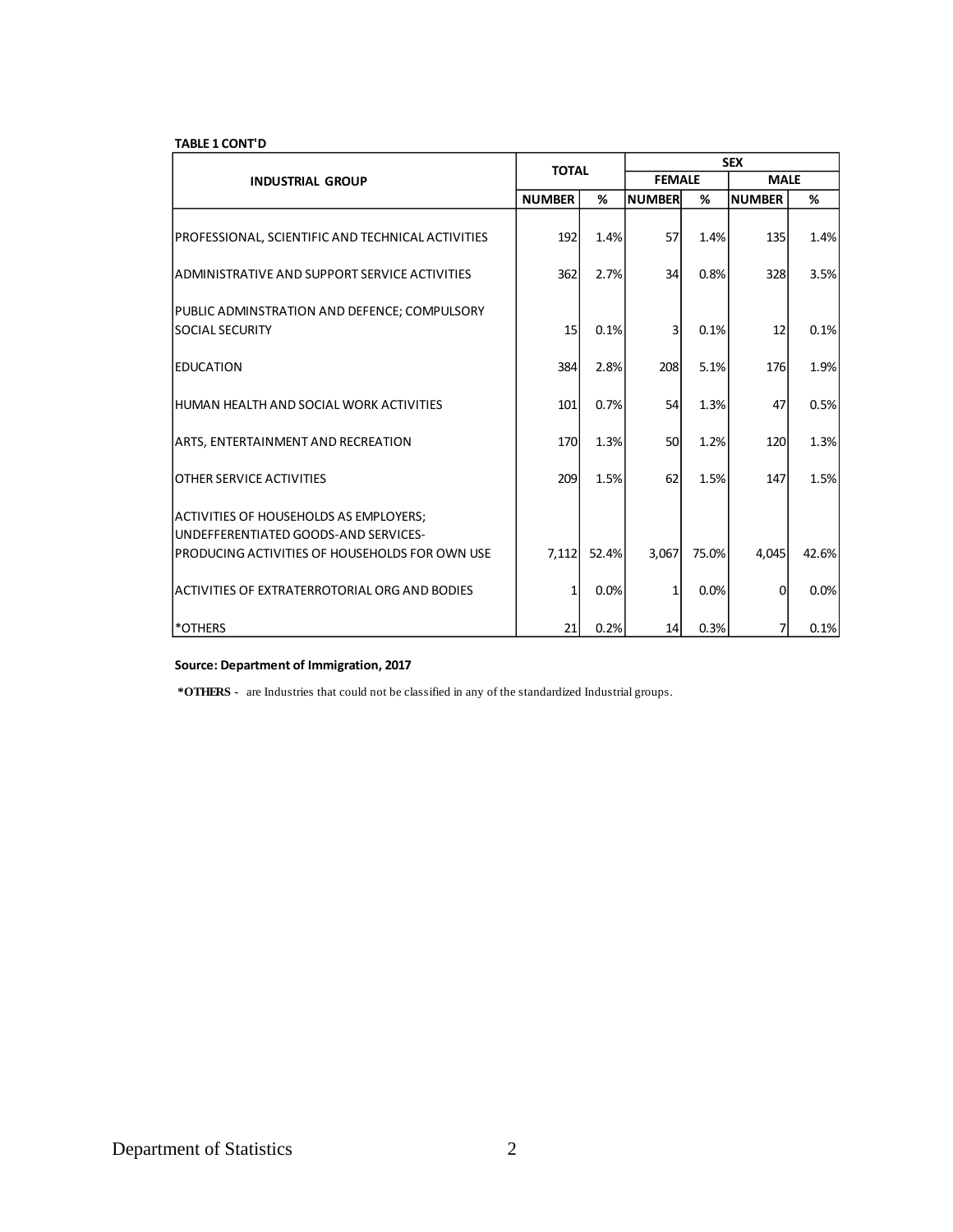#### **TABLE 1 CONT'D**

|                                                                                |               | <b>TOTAL</b> |                | <b>SEX</b> |               |       |  |  |
|--------------------------------------------------------------------------------|---------------|--------------|----------------|------------|---------------|-------|--|--|
| <b>INDUSTRIAL GROUP</b>                                                        |               |              | <b>FEMALE</b>  |            | <b>MALE</b>   |       |  |  |
|                                                                                | <b>NUMBER</b> | %            | <b>NUMBER</b>  | %          | <b>NUMBER</b> | %     |  |  |
| PROFESSIONAL, SCIENTIFIC AND TECHNICAL ACTIVITIES                              | 192           | 1.4%         | 57             | 1.4%       | 135           | 1.4%  |  |  |
| ADMINISTRATIVE AND SUPPORT SERVICE ACTIVITIES                                  | 362           | 2.7%         | 34             | 0.8%       | 328           | 3.5%  |  |  |
| PUBLIC ADMINSTRATION AND DEFENCE; COMPULSORY<br><b>SOCIAL SECURITY</b>         | 15            | 0.1%         | $\overline{3}$ | 0.1%       | 12            | 0.1%  |  |  |
| <b>IEDUCATION</b>                                                              | 384           | 2.8%         | 208            | 5.1%       | 176           | 1.9%  |  |  |
| IHUMAN HEALTH AND SOCIAL WORK ACTIVITIES                                       | 101           | 0.7%         | 54             | 1.3%       | 47            | 0.5%  |  |  |
| <b>ARTS, ENTERTAINMENT AND RECREATION</b>                                      | 170           | 1.3%         | 50             | 1.2%       | 120           | 1.3%  |  |  |
| <b>OTHER SERVICE ACTIVITIES</b>                                                | 209           | 1.5%         | 62             | 1.5%       | 147           | 1.5%  |  |  |
| ACTIVITIES OF HOUSEHOLDS AS EMPLOYERS;<br>UNDEFFERENTIATED GOODS-AND SERVICES- |               |              |                |            |               |       |  |  |
| PRODUCING ACTIVITIES OF HOUSEHOLDS FOR OWN USE                                 | 7,112         | 52.4%        | 3,067          | 75.0%      | 4,045         | 42.6% |  |  |
| ACTIVITIES OF EXTRATERROTORIAL ORG AND BODIES                                  |               | 0.0%         | 1              | 0.0%       | 0             | 0.0%  |  |  |
| *OTHERS                                                                        | 21            | 0.2%         | 14             | 0.3%       | 7             | 0.1%  |  |  |

#### **Source: Department of Immigration, 2017**

 **\*OTHERS -** are Industries that could not be classified in any of the standardized Industrial groups.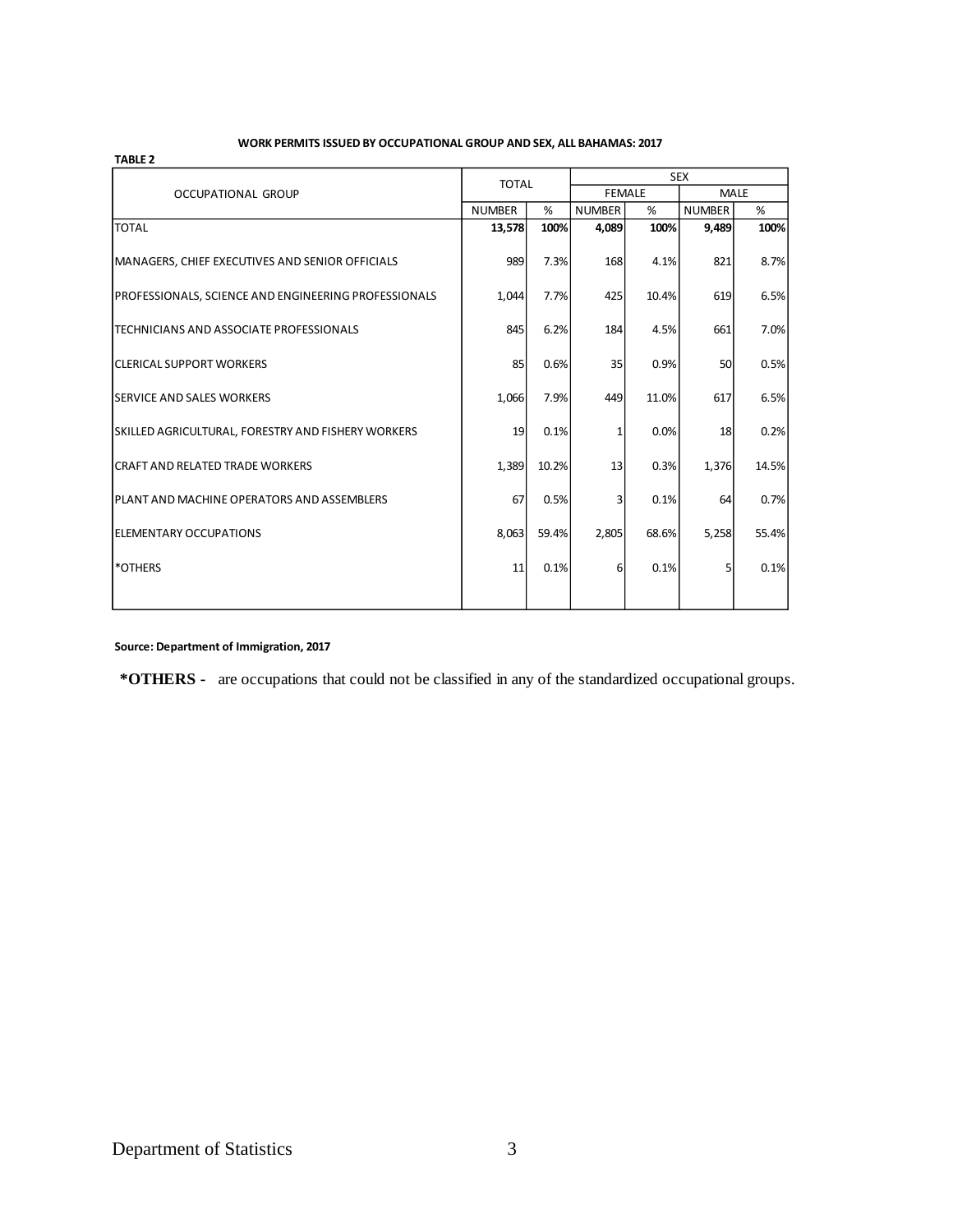#### **WORK PERMITS ISSUED BY OCCUPATIONAL GROUP AND SEX, ALL BAHAMAS: 2017**

| <b>TABLE 2</b>                                            |               |       |               |               |               |       |  |
|-----------------------------------------------------------|---------------|-------|---------------|---------------|---------------|-------|--|
|                                                           | <b>TOTAL</b>  |       | <b>SEX</b>    |               |               |       |  |
| <b>OCCUPATIONAL GROUP</b>                                 |               |       |               | <b>FEMALE</b> | <b>MALE</b>   |       |  |
|                                                           | <b>NUMBER</b> | %     | <b>NUMBER</b> | %             | <b>NUMBER</b> | %     |  |
| <b>TOTAL</b>                                              | 13,578        | 100%  | 4,089         | 100%          | 9,489         | 100%  |  |
| MANAGERS, CHIEF EXECUTIVES AND SENIOR OFFICIALS           | 989           | 7.3%  | 168           | 4.1%          | 821           | 8.7%  |  |
| PROFESSIONALS, SCIENCE AND ENGINEERING PROFESSIONALS      | 1,044         | 7.7%  | 425           | 10.4%         | 619           | 6.5%  |  |
| ITECHNICIANS AND ASSOCIATE PROFESSIONALS                  | 845           | 6.2%  | 184           | 4.5%          | 661           | 7.0%  |  |
| <b>ICLERICAL SUPPORT WORKERS</b>                          | 85            | 0.6%  | 35            | 0.9%          | 50            | 0.5%  |  |
| <b>ISERVICE AND SALES WORKERS</b>                         | 1,066         | 7.9%  | 449           | 11.0%         | 617           | 6.5%  |  |
| <b>SKILLED AGRICULTURAL, FORESTRY AND FISHERY WORKERS</b> | 19            | 0.1%  | 1             | 0.0%          | 18            | 0.2%  |  |
| <b>CRAFT AND RELATED TRADE WORKERS</b>                    | 1,389         | 10.2% | 13            | 0.3%          | 1,376         | 14.5% |  |
| <b>IPLANT AND MACHINE OPERATORS AND ASSEMBLERS</b>        | 67            | 0.5%  | 3             | 0.1%          | 64            | 0.7%  |  |
| <b>IELEMENTARY OCCUPATIONS</b>                            | 8,063         | 59.4% | 2,805         | 68.6%         | 5,258         | 55.4% |  |
| <b>*OTHERS</b>                                            | 11            | 0.1%  | 6             | 0.1%          | 5             | 0.1%  |  |
|                                                           |               |       |               |               |               |       |  |

**Source: Department of Immigration, 2017**

 **\*OTHERS -** are occupations that could not be classified in any of the standardized occupational groups.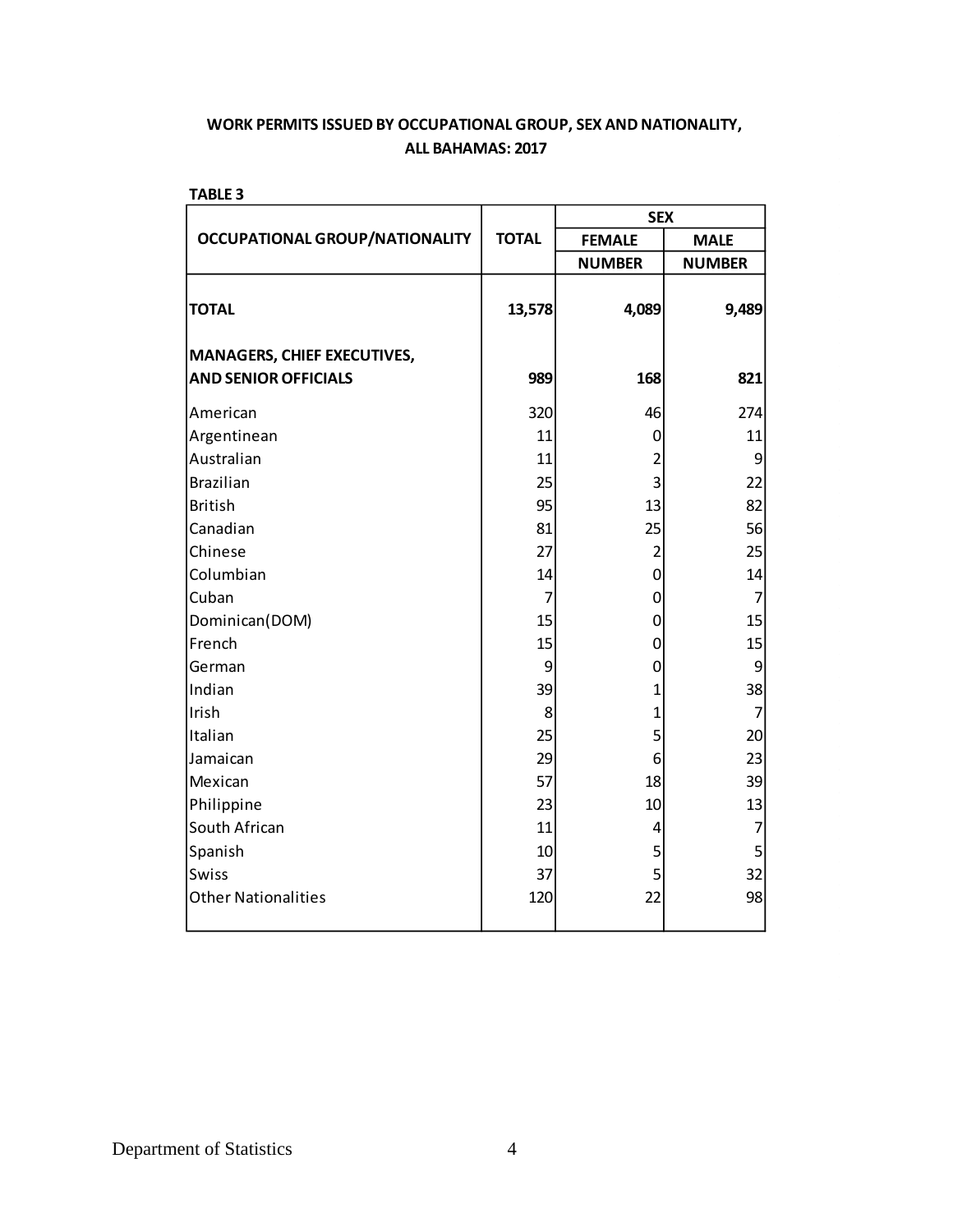| <b>OCCUPATIONAL GROUP/NATIONALITY</b> | <b>TOTAL</b>   | <b>FEMALE</b>  | <b>MALE</b>   |
|---------------------------------------|----------------|----------------|---------------|
|                                       |                |                |               |
|                                       |                | <b>NUMBER</b>  | <b>NUMBER</b> |
| <b>TOTAL</b>                          | 13,578         | 4,089          | 9,489         |
| <b>MANAGERS, CHIEF EXECUTIVES,</b>    |                |                |               |
| <b>AND SENIOR OFFICIALS</b>           | 989            | 168            | 821           |
| American                              | 320            | 46             | 274           |
| Argentinean                           | 11             | 0              | 11            |
| Australian                            | 11             | $\overline{2}$ | 9             |
| <b>Brazilian</b>                      | 25             | 3              | 22            |
| <b>British</b>                        | 95             | 13             | 82            |
| Canadian                              | 81             | 25             | 56            |
| Chinese                               | 27             | $\overline{2}$ | 25            |
| Columbian                             | 14             | $\overline{0}$ | 14            |
| Cuban                                 | $\overline{7}$ | 0              | 7             |
| Dominican(DOM)                        | 15             | 0              | 15            |
| French                                | 15             | 0              | 15            |
| German                                | 9              | 0              | 9             |
| Indian                                | 39             | $\mathbf{1}$   | 38            |
| Irish                                 | 8              | $\overline{1}$ | 7             |
| Italian                               | 25             | 5              | 20            |
| Jamaican                              | 29             | 6              | 23            |
| Mexican                               | 57             | 18             | 39            |
| Philippine                            | 23             | 10             | 13            |
| South African                         | 11             | 4              | 7             |
| Spanish                               | 10             | 5              | 5             |
| <b>Swiss</b>                          | 37             | 5              | 32            |
| <b>Other Nationalities</b>            | 120            | 22             | 98            |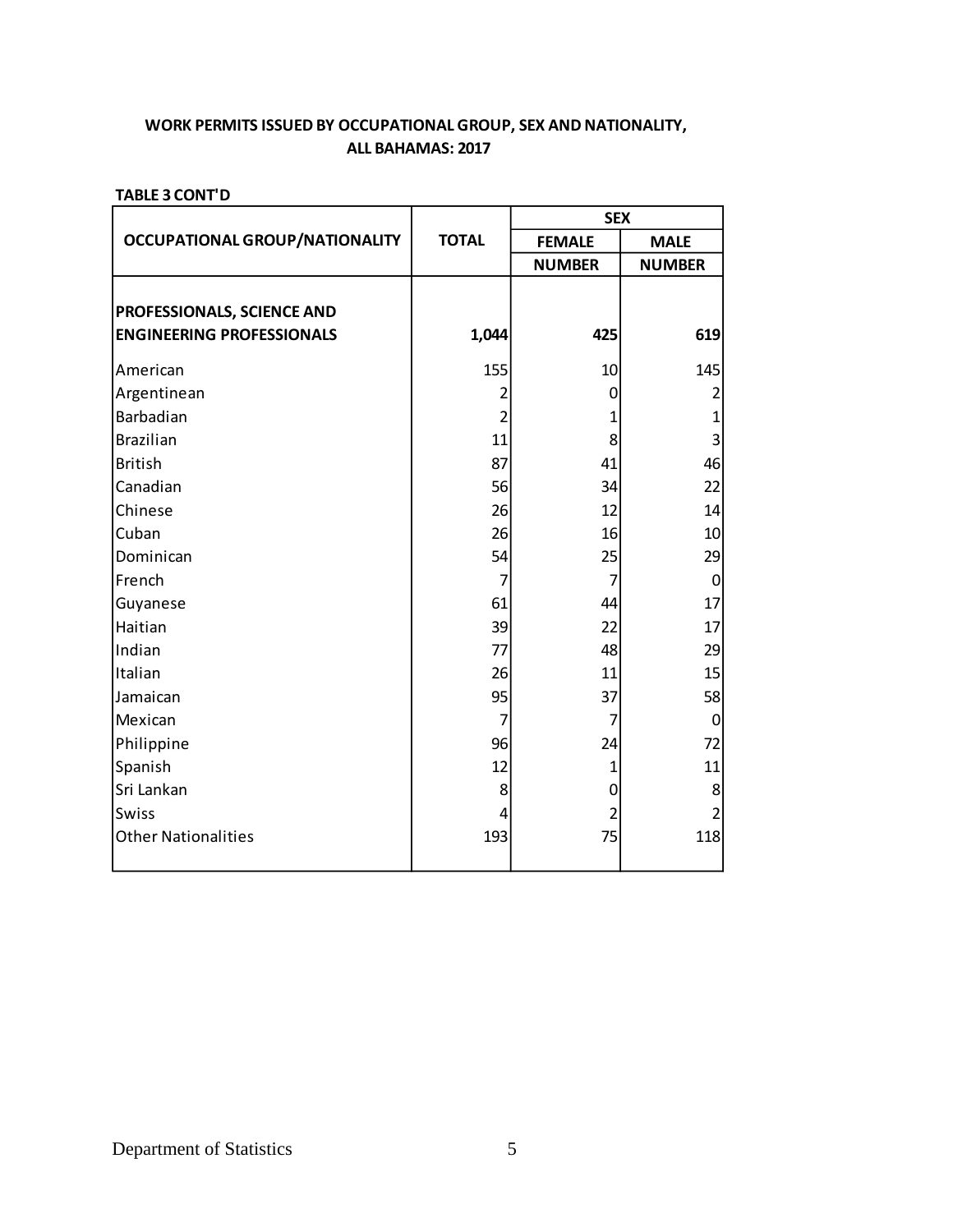## **ALL BAHAMAS: 2017 WORK PERMITS ISSUED BY OCCUPATIONAL GROUP, SEX AND NATIONALITY,**

|                                                                |                | <b>SEX</b>    |                  |  |
|----------------------------------------------------------------|----------------|---------------|------------------|--|
| <b>OCCUPATIONAL GROUP/NATIONALITY</b>                          | <b>TOTAL</b>   | <b>FEMALE</b> | <b>MALE</b>      |  |
|                                                                |                | <b>NUMBER</b> | <b>NUMBER</b>    |  |
| PROFESSIONALS, SCIENCE AND<br><b>ENGINEERING PROFESSIONALS</b> | 1,044          | 425           | 619              |  |
| American                                                       | 155            | 10            | 145              |  |
| Argentinean                                                    | 2              | 0             |                  |  |
| Barbadian                                                      | $\overline{2}$ | $\mathbf{1}$  | $\mathbf{1}$     |  |
| <b>Brazilian</b>                                               | 11             | 8             | 3                |  |
| <b>British</b>                                                 | 87             | 41            | 46               |  |
| Canadian                                                       | 56             | 34            | 22               |  |
| Chinese                                                        | 26             | 12            | 14               |  |
| Cuban                                                          | 26             | 16            | 10               |  |
| Dominican                                                      | 54             | 25            | 29               |  |
| French                                                         | 7              | 7             | 0                |  |
| Guyanese                                                       | 61             | 44            | 17               |  |
| Haitian                                                        | 39             | 22            | 17               |  |
| Indian                                                         | 77             | 48            | 29               |  |
| Italian                                                        | 26             | 11            | 15               |  |
| Jamaican                                                       | 95             | 37            | 58               |  |
| Mexican                                                        | 7              | 7             | $\boldsymbol{0}$ |  |
| Philippine                                                     | 96             | 24            | 72               |  |
| Spanish                                                        | 12             | 1             | 11               |  |
| Sri Lankan                                                     | 8              | 0             | 8                |  |
| Swiss                                                          | 4              | 2             | 2                |  |
| <b>Other Nationalities</b>                                     | 193            | 75            | 118              |  |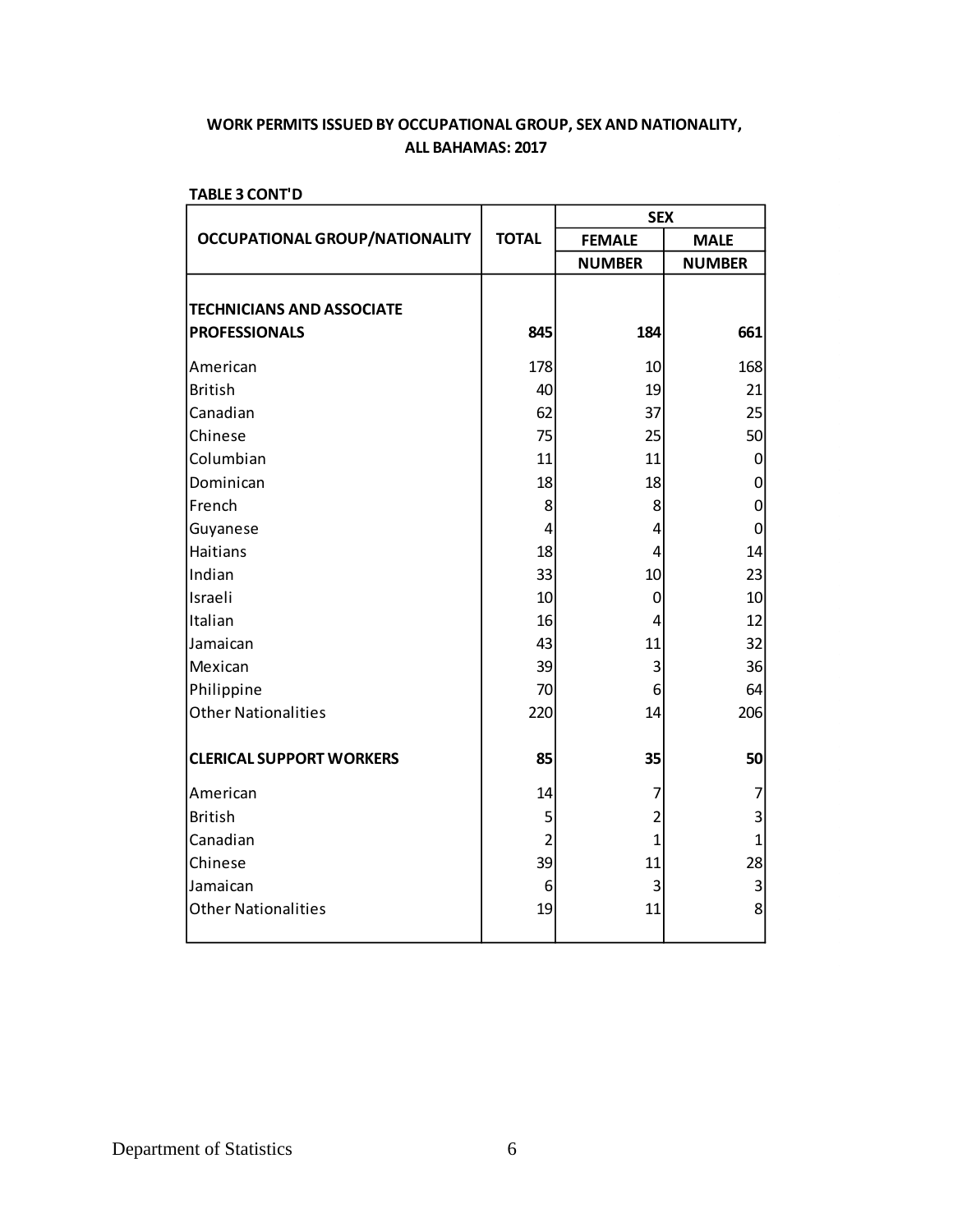|                                                          |                | <b>SEX</b>     |               |  |  |
|----------------------------------------------------------|----------------|----------------|---------------|--|--|
| <b>OCCUPATIONAL GROUP/NATIONALITY</b>                    | <b>TOTAL</b>   | <b>FEMALE</b>  | <b>MALE</b>   |  |  |
|                                                          |                | <b>NUMBER</b>  | <b>NUMBER</b> |  |  |
| <b>TECHNICIANS AND ASSOCIATE</b><br><b>PROFESSIONALS</b> | 845            | 184            | 661           |  |  |
| American                                                 | 178            | 10             | 168           |  |  |
| <b>British</b>                                           | 40             | 19             | 21            |  |  |
| Canadian                                                 | 62             | 37             | 25            |  |  |
| Chinese                                                  | 75             | 25             | 50            |  |  |
| Columbian                                                | 11             | 11             | 0             |  |  |
| Dominican                                                | 18             | 18             | $\mathbf 0$   |  |  |
| French                                                   | 8              | 8              | 0             |  |  |
| Guyanese                                                 | 4              | 4              | 0             |  |  |
| <b>Haitians</b>                                          | 18             | 4              | 14            |  |  |
| Indian                                                   | 33             | 10             | 23            |  |  |
| Israeli                                                  | 10             | 0              | 10            |  |  |
| Italian                                                  | 16             | 4              | 12            |  |  |
| Jamaican                                                 | 43             | 11             | 32            |  |  |
| Mexican                                                  | 39             | 3              | 36            |  |  |
| Philippine                                               | 70             | 6              | 64            |  |  |
| <b>Other Nationalities</b>                               | 220            | 14             | 206           |  |  |
| <b>CLERICAL SUPPORT WORKERS</b>                          | 85             | 35             | 50            |  |  |
| American                                                 | 14             | 7              | 7             |  |  |
| <b>British</b>                                           | 5              | $\overline{2}$ | 3             |  |  |
| Canadian                                                 | $\overline{2}$ | $\overline{1}$ | $\mathbf{1}$  |  |  |
| Chinese                                                  | 39             | 11             | 28            |  |  |
| Jamaican                                                 | 6              | 3              | 3             |  |  |
| <b>Other Nationalities</b>                               | 19             | 11             | 8             |  |  |
|                                                          |                |                |               |  |  |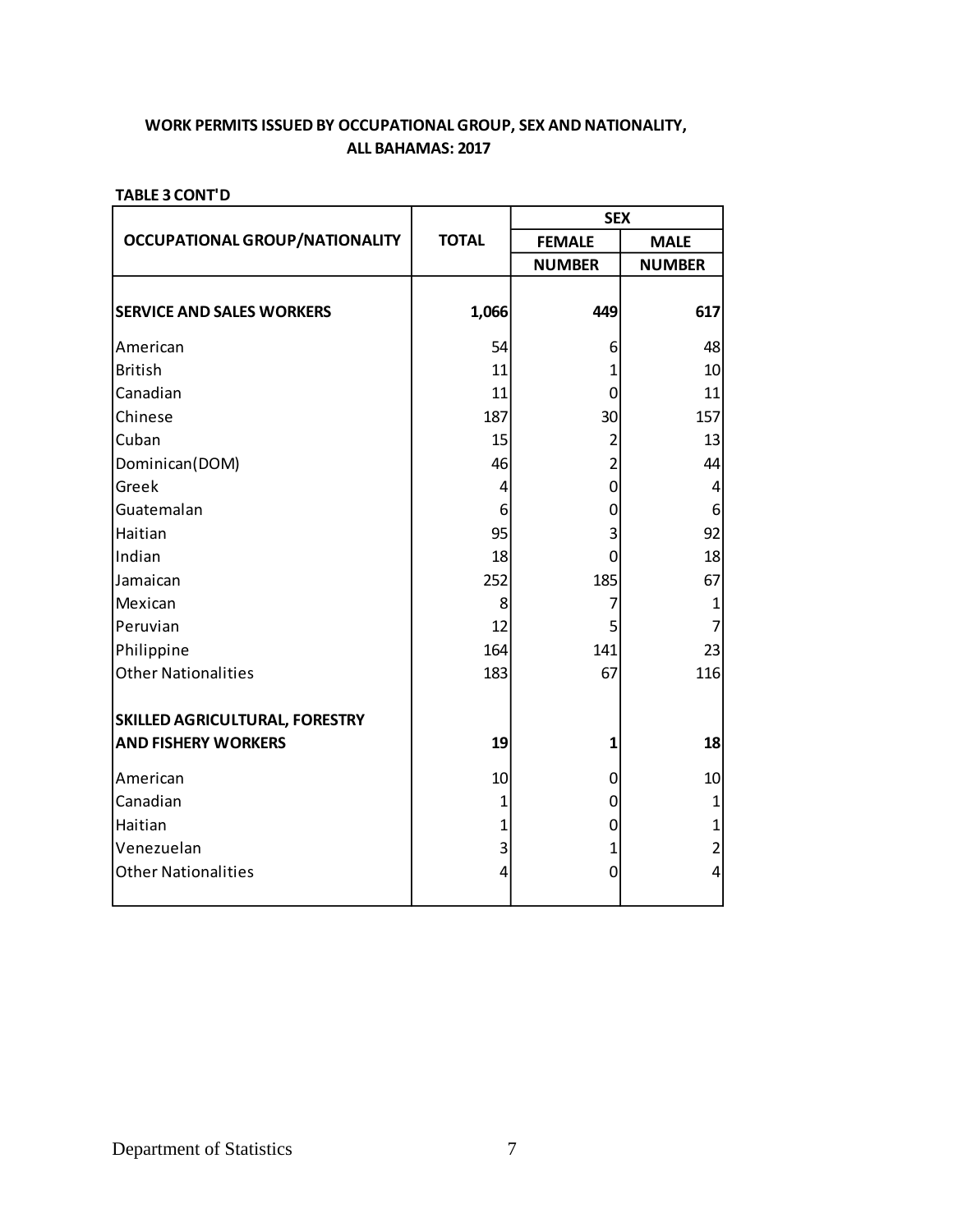|              | <b>SEX</b>     |                |  |
|--------------|----------------|----------------|--|
| <b>TOTAL</b> | <b>FEMALE</b>  | <b>MALE</b>    |  |
|              | <b>NUMBER</b>  | <b>NUMBER</b>  |  |
| 1,066        | 449            | 617            |  |
| 54           | 6              | 48             |  |
| 11           | 1              | 10             |  |
| 11           | $\mathbf 0$    | 11             |  |
| 187          | 30             | 157            |  |
| 15           | 2              | 13             |  |
| 46           | $\overline{2}$ | 44             |  |
| 4            | $\mathbf 0$    | 4              |  |
| 6            | 0              | 6              |  |
| 95           | 3              | 92             |  |
| 18           | $\Omega$       | 18             |  |
| 252          | 185            | 67             |  |
| 8            | 7              | $\mathbf{1}$   |  |
| 12           | 5              | $\overline{7}$ |  |
| 164          | 141            | 23             |  |
| 183          | 67             | 116            |  |
|              |                |                |  |
| 19           | 1              | 18             |  |
| 10           | 0              | 10             |  |
| 1            | 0              | $\mathbf 1$    |  |
| 1            | 0              | $\mathbf{1}$   |  |
| 3            | 1              | $\overline{2}$ |  |
| 4            | 0              | $\overline{4}$ |  |
|              |                |                |  |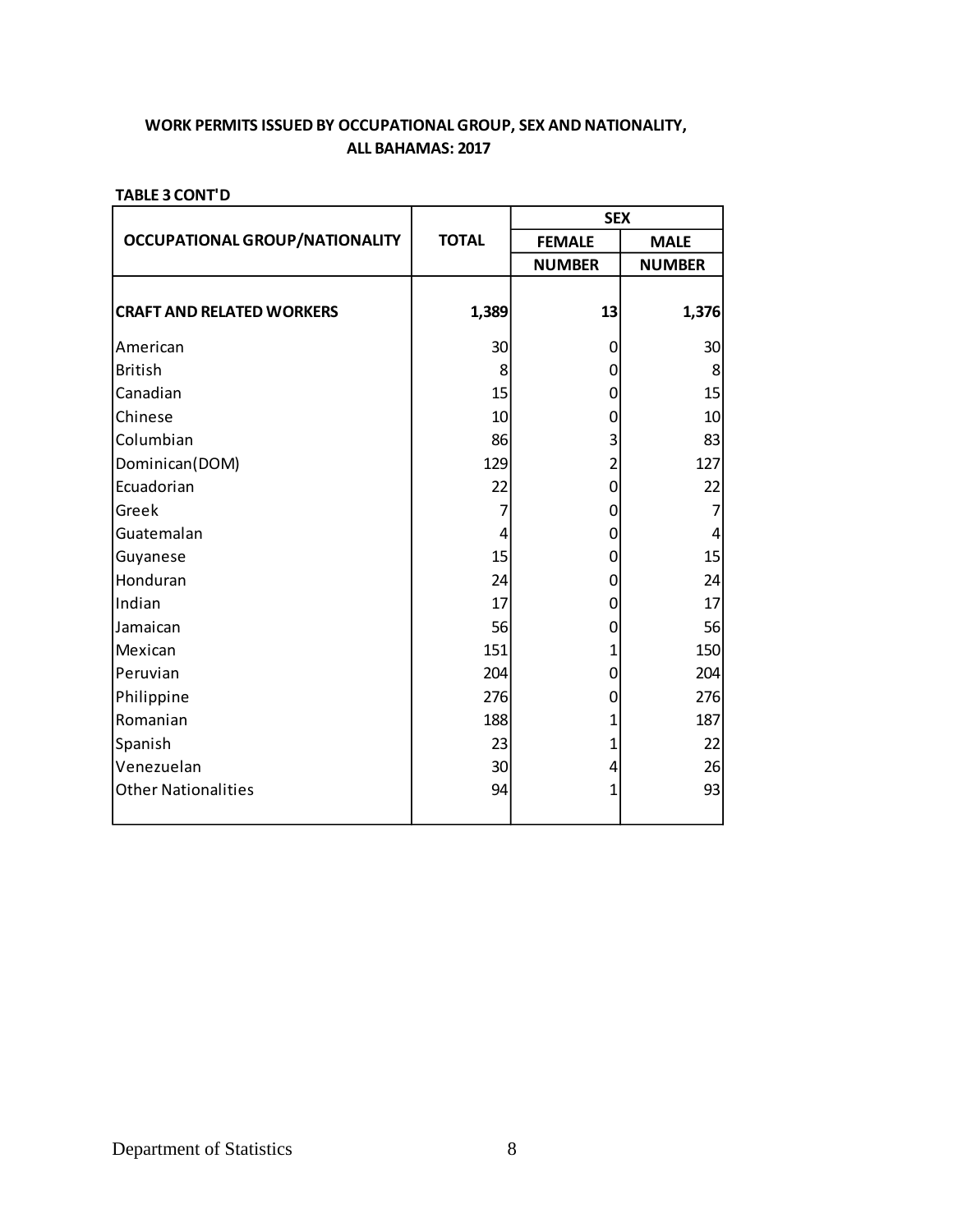|                                       |              | <b>SEX</b>     |                |
|---------------------------------------|--------------|----------------|----------------|
| <b>OCCUPATIONAL GROUP/NATIONALITY</b> | <b>TOTAL</b> | <b>FEMALE</b>  | <b>MALE</b>    |
|                                       |              | <b>NUMBER</b>  | <b>NUMBER</b>  |
| <b>CRAFT AND RELATED WORKERS</b>      | 1,389        | 13             | 1,376          |
| American                              | 30           | 0              | 30             |
| <b>British</b>                        | 8            | $\mathbf 0$    | 8              |
| Canadian                              | 15           | 0              | 15             |
| Chinese                               | 10           | 0              | 10             |
| Columbian                             | 86           | 3              | 83             |
| Dominican(DOM)                        | 129          | $\overline{2}$ | 127            |
| Ecuadorian                            | 22           | $\mathbf 0$    | 22             |
| Greek                                 | 7            | 0              | 7              |
| Guatemalan                            | 4            | 0              | $\overline{4}$ |
| Guyanese                              | 15           | 0              | 15             |
| Honduran                              | 24           | 0              | 24             |
| Indian                                | 17           | 0              | 17             |
| Jamaican                              | 56           | 0              | 56             |
| Mexican                               | 151          | 1              | 150            |
| Peruvian                              | 204          | 0              | 204            |
| Philippine                            | 276          | 0              | 276            |
| Romanian                              | 188          | 1              | 187            |
| Spanish                               | 23           | 1              | 22             |
| Venezuelan                            | 30           | 4              | 26             |
| <b>Other Nationalities</b>            | 94           | 1              | 93             |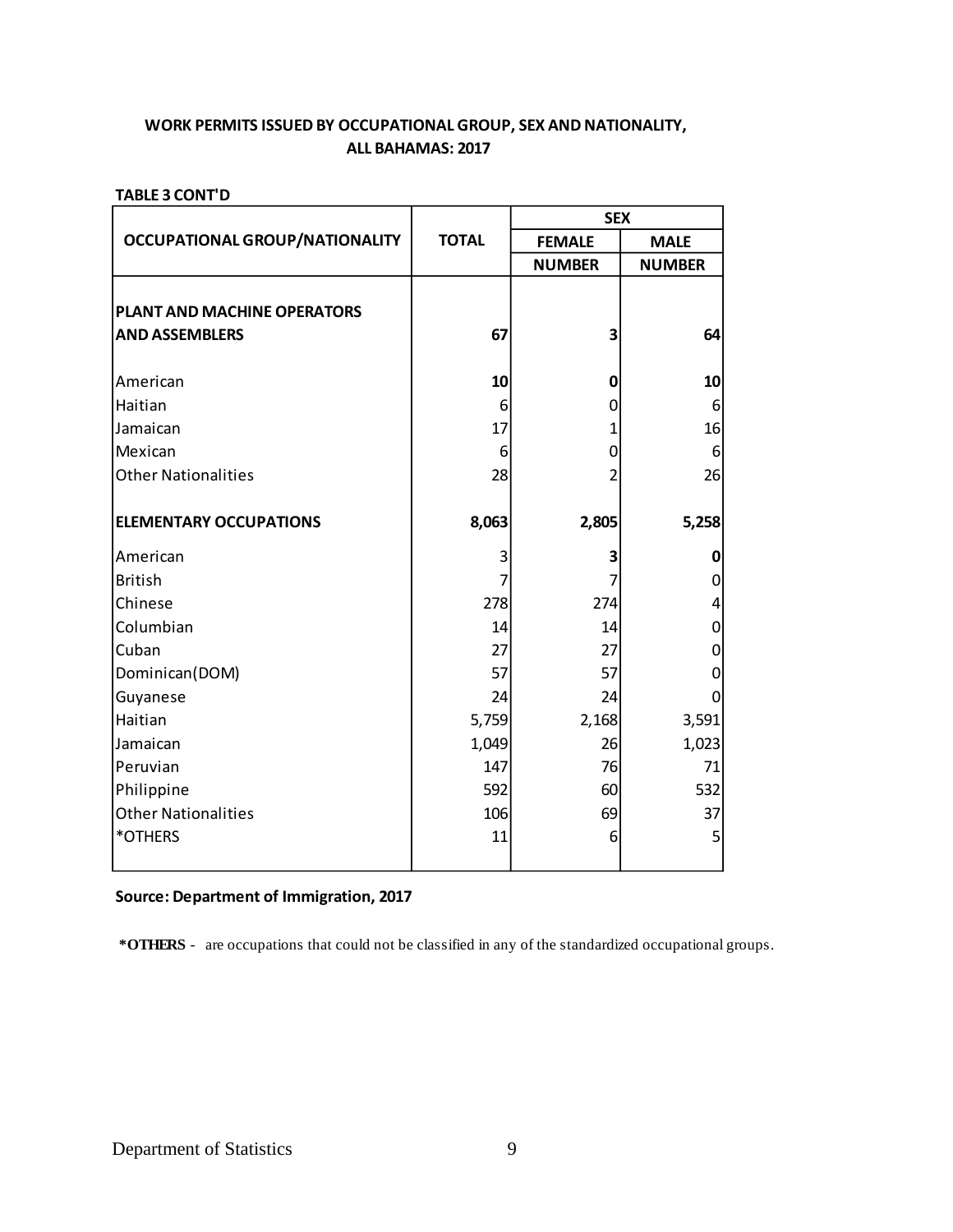## **ALL BAHAMAS: 2017 WORK PERMITS ISSUED BY OCCUPATIONAL GROUP, SEX AND NATIONALITY,**

#### **TABLE 3 CONT'D**

|                                       |              | <b>SEX</b>     |               |
|---------------------------------------|--------------|----------------|---------------|
| <b>OCCUPATIONAL GROUP/NATIONALITY</b> | <b>TOTAL</b> | <b>FEMALE</b>  | <b>MALE</b>   |
|                                       |              | <b>NUMBER</b>  | <b>NUMBER</b> |
|                                       |              |                |               |
| PLANT AND MACHINE OPERATORS           |              |                |               |
| <b>AND ASSEMBLERS</b>                 | 67           | 3              | 64            |
| American                              | 10           | 0              | 10            |
| Haitian                               | 6            | 0              | 6             |
| Jamaican                              | 17           | 1              | 16            |
| Mexican                               | 6            | 0              | 6             |
| <b>Other Nationalities</b>            | 28           | $\overline{2}$ | 26            |
| <b>ELEMENTARY OCCUPATIONS</b>         | 8,063        | 2,805          | 5,258         |
| American                              | 3            | 3              | 0             |
| <b>British</b>                        | 7            | 7              | 0             |
| Chinese                               | 278          | 274            | 4             |
| Columbian                             | 14           | 14             | 0             |
| Cuban                                 | 27           | 27             | 0             |
| Dominican(DOM)                        | 57           | 57             | 0             |
| Guyanese                              | 24           | 24             | 0             |
| Haitian                               | 5,759        | 2,168          | 3,591         |
| Jamaican                              | 1,049        | 26             | 1,023         |
| Peruvian                              | 147          | 76             | 71            |
| Philippine                            | 592          | 60             | 532           |
| <b>Other Nationalities</b>            | 106          | 69             | 37            |
| *OTHERS                               | 11           | 6              | 5             |
|                                       |              |                |               |

## **Source: Department of Immigration, 2017**

 **\*OTHERS** - are occupations that could not be classified in any of the standardized occupational groups.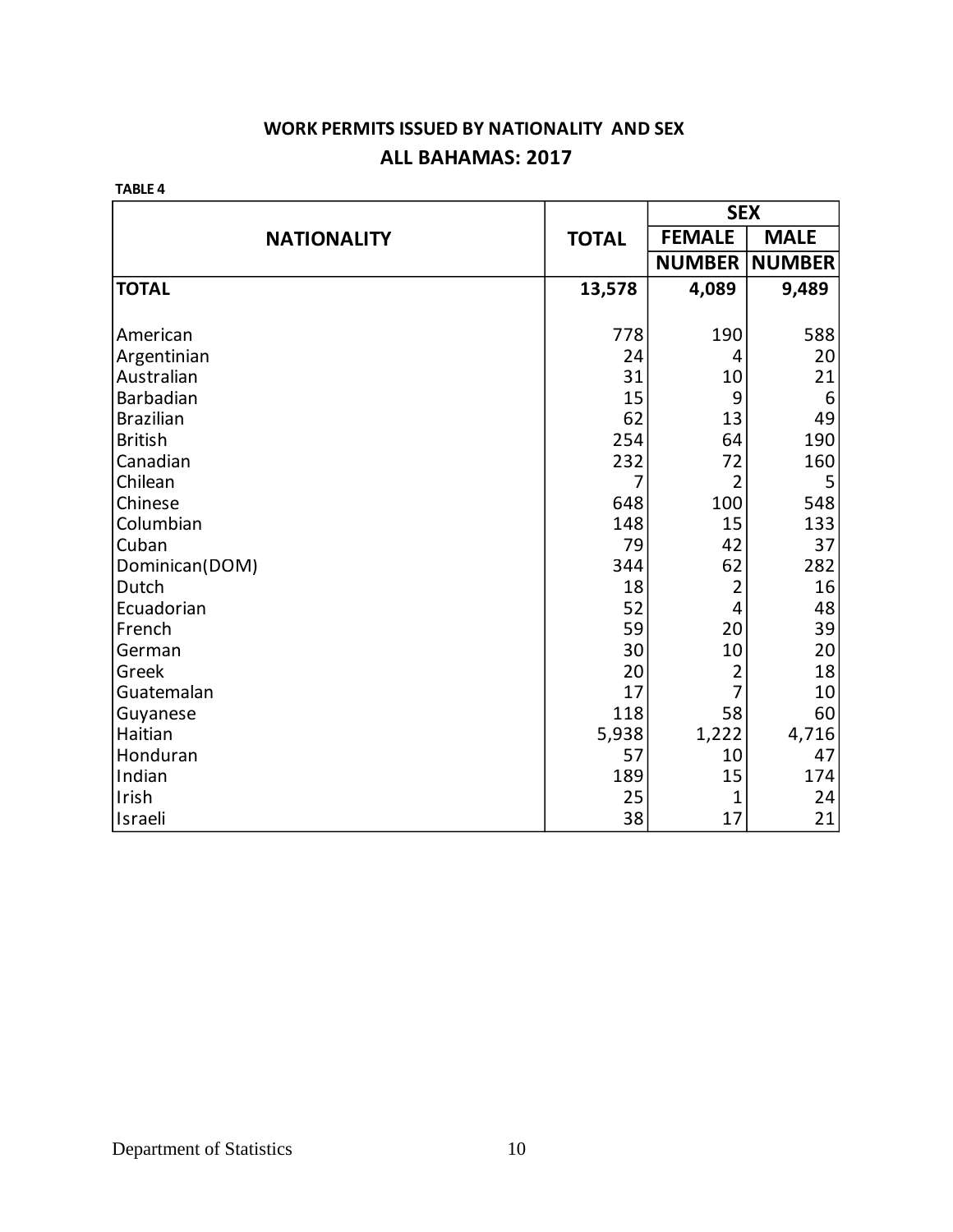## **WORK PERMITS ISSUED BY NATIONALITY AND SEX ALL BAHAMAS: 2017**

**TABLE 4**

|                    |              | <b>SEX</b>     |               |  |
|--------------------|--------------|----------------|---------------|--|
| <b>NATIONALITY</b> | <b>TOTAL</b> | <b>FEMALE</b>  | <b>MALE</b>   |  |
|                    |              | <b>NUMBER</b>  | <b>NUMBER</b> |  |
| <b>TOTAL</b>       | 13,578       | 4,089          | 9,489         |  |
|                    |              |                |               |  |
| American           | 778          | 190            | 588           |  |
| Argentinian        | 24           | 4              | 20            |  |
| Australian         | 31           | 10             | 21            |  |
| Barbadian          | 15           | 9              | 6             |  |
| <b>Brazilian</b>   | 62           | 13             | 49            |  |
| <b>British</b>     | 254          | 64             | 190           |  |
| Canadian           | 232          | 72             | 160           |  |
| Chilean            | 7            | $\overline{2}$ | 5             |  |
| Chinese            | 648          | 100            | 548           |  |
| Columbian          | 148          | 15             | 133           |  |
| Cuban              | 79           | 42             | 37            |  |
| Dominican(DOM)     | 344          | 62             | 282           |  |
| Dutch              | 18           | $\overline{2}$ | 16            |  |
| Ecuadorian         | 52           | $\overline{4}$ | 48            |  |
| French             | 59           | 20             | 39            |  |
| German             | 30           | 10             | 20            |  |
| Greek              | 20           | $\overline{2}$ | 18            |  |
| Guatemalan         | 17           | $\overline{7}$ | 10            |  |
| Guyanese           | 118          | 58             | 60            |  |
| Haitian            | 5,938        | 1,222          | 4,716         |  |
| Honduran           | 57           | 10             | 47            |  |
| Indian             | 189          | 15             | 174           |  |
| Irish              | 25           | 1              | 24            |  |
| Israeli            | 38           | 17             | 21            |  |